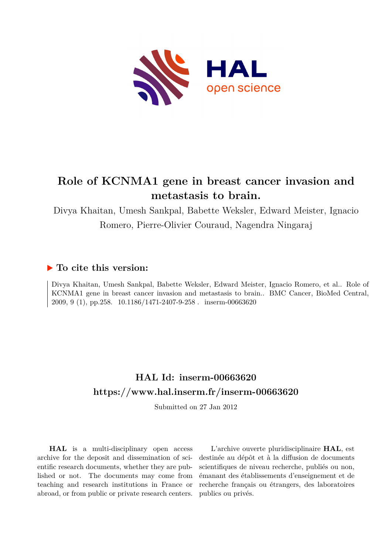

# **Role of KCNMA1 gene in breast cancer invasion and metastasis to brain.**

Divya Khaitan, Umesh Sankpal, Babette Weksler, Edward Meister, Ignacio Romero, Pierre-Olivier Couraud, Nagendra Ningaraj

# **To cite this version:**

Divya Khaitan, Umesh Sankpal, Babette Weksler, Edward Meister, Ignacio Romero, et al.. Role of KCNMA1 gene in breast cancer invasion and metastasis to brain.. BMC Cancer, BioMed Central, 2009, 9 (1), pp.258. 10.1186/1471-2407-9-258. inserm-00663620

# **HAL Id: inserm-00663620 <https://www.hal.inserm.fr/inserm-00663620>**

Submitted on 27 Jan 2012

**HAL** is a multi-disciplinary open access archive for the deposit and dissemination of scientific research documents, whether they are published or not. The documents may come from teaching and research institutions in France or abroad, or from public or private research centers.

L'archive ouverte pluridisciplinaire **HAL**, est destinée au dépôt et à la diffusion de documents scientifiques de niveau recherche, publiés ou non, émanant des établissements d'enseignement et de recherche français ou étrangers, des laboratoires publics ou privés.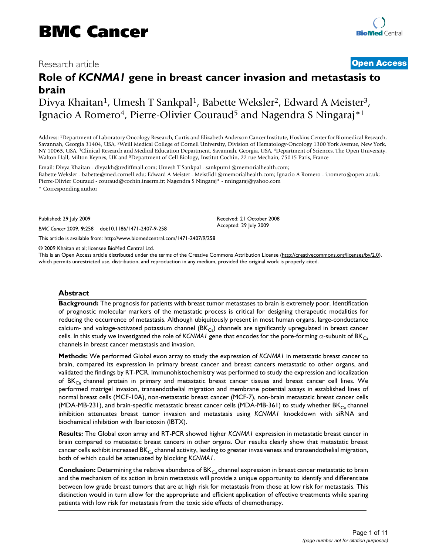# Research article **Contract Contract Contract Contract Contract Contract Contract Contract Contract Contract Contract Contract Contract Contract Contract Contract Contract Contract Contract Contract Contract Contract Contra**

# **Role of** *KCNMA1* **gene in breast cancer invasion and metastasis to brain**

Divya Khaitan<sup>1</sup>, Umesh T Sankpal<sup>1</sup>, Babette Weksler<sup>2</sup>, Edward A Meister<sup>3</sup>, Ignacio A Romero<sup>4</sup>, Pierre-Olivier Couraud<sup>5</sup> and Nagendra S Ningaraj<sup>\*1</sup>

Address: <sup>1</sup>Department of Laboratory Oncology Research, Curtis and Elizabeth Anderson Cancer Institute, Hoskins Center for Biomedical Research, Savannah, Georgia 31404, USA, <sup>2</sup>Weill Medical College of Cornell University, Division of Hematology-Oncology 1300 York Avenue, New York, NY 10065, USA, <sup>3</sup>Clinical Research and Medical Education Department, Savannah, Georgia, USA, <sup>4</sup>Department of Sciences, The Open University, Walton Hall, Milton Keynes, UK and <sup>5</sup>Department of Cell Biology, Institut Cochin, 22 rue Mechain, 75015 Paris, France

Email: Divya Khaitan - divyakh@rediffmail.com; Umesh T Sankpal - sankpum1@memorialhealth.com; Babette Weksler - babette@med.cornell.edu; Edward A Meister - MeistEd1@memorialhealth.com; Ignacio A Romero - i.romero@open.ac.uk; Pierre-Olivier Couraud - couraud@cochin.inserm.fr; Nagendra S Ningaraj\* - nningaraj@yahoo.com

\* Corresponding author

Published: 29 July 2009

*BMC Cancer* 2009, **9**:258 doi:10.1186/1471-2407-9-258

[This article is available from: http://www.biomedcentral.com/1471-2407/9/258](http://www.biomedcentral.com/1471-2407/9/258)

© 2009 Khaitan et al; licensee BioMed Central Ltd.

This is an Open Access article distributed under the terms of the Creative Commons Attribution License [\(http://creativecommons.org/licenses/by/2.0\)](http://creativecommons.org/licenses/by/2.0), which permits unrestricted use, distribution, and reproduction in any medium, provided the original work is properly cited.

Received: 21 October 2008 Accepted: 29 July 2009

#### **Abstract**

**Background:** The prognosis for patients with breast tumor metastases to brain is extremely poor. Identification of prognostic molecular markers of the metastatic process is critical for designing therapeutic modalities for reducing the occurrence of metastasis. Although ubiquitously present in most human organs, large-conductance calcium- and voltage-activated potassium channel  $(BK_{Ca})$  channels are significantly upregulated in breast cancer cells. In this study we investigated the role of *KCNMA1* gene that encodes for the pore-forming  $\alpha$ -subunit of BK<sub>Ca</sub> channels in breast cancer metastasis and invasion.

**Methods:** We performed Global exon array to study the expression of *KCNMA1* in metastatic breast cancer to brain, compared its expression in primary breast cancer and breast cancers metastatic to other organs, and validated the findings by RT-PCR. Immunohistochemistry was performed to study the expression and localization of BK<sub>Ca</sub> channel protein in primary and metastatic breast cancer tissues and breast cancer cell lines. We performed matrigel invasion, transendothelial migration and membrane potential assays in established lines of normal breast cells (MCF-10A), non-metastatic breast cancer (MCF-7), non-brain metastatic breast cancer cells (MDA-MB-231), and brain-specific metastatic breast cancer cells (MDA-MB-361) to study whether BK<sub>Ca</sub> channel inhibition attenuates breast tumor invasion and metastasis using *KCNMA1* knockdown with siRNA and biochemical inhibition with Iberiotoxin (IBTX).

**Results:** The Global exon array and RT-PCR showed higher *KCNMA1* expression in metastatic breast cancer in brain compared to metastatic breast cancers in other organs. Our results clearly show that metastatic breast cancer cells exhibit increased BK $_{Ca}$  channel activity, leading to greater invasiveness and transendothelial migration, both of which could be attenuated by blocking *KCNMA1*.

**Conclusion:** Determining the relative abundance of BK<sub>Ca</sub> channel expression in breast cancer metastatic to brain and the mechanism of its action in brain metastasis will provide a unique opportunity to identify and differentiate between low grade breast tumors that are at high risk for metastasis from those at low risk for metastasis. This distinction would in turn allow for the appropriate and efficient application of effective treatments while sparing patients with low risk for metastasis from the toxic side effects of chemotherapy.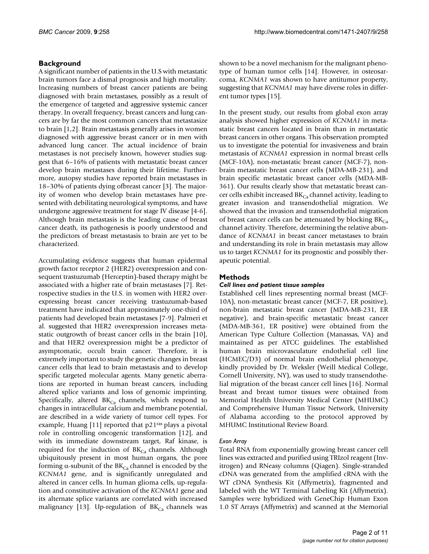# **Background**

A significant number of patients in the U.S with metastatic brain tumors face a dismal prognosis and high mortality. Increasing numbers of breast cancer patients are being diagnosed with brain metastases, possibly as a result of the emergence of targeted and aggressive systemic cancer therapy. In overall frequency, breast cancers and lung cancers are by far the most common cancers that metastasize to brain [1,2]. Brain metastasis generally arises in women diagnosed with aggressive breast cancer or in men with advanced lung cancer. The actual incidence of brain metastases is not precisely known, however studies suggest that 6–16% of patients with metastatic breast cancer develop brain metastases during their lifetime. Furthermore, autopsy studies have reported brain metastases in 18–30% of patients dying ofbreast cancer [3]. The majority of women who develop brain metastases have presented with debilitating neurological symptoms, and have undergone aggressive treatment for stage IV disease [4-6]. Although brain metastasis is the leading cause of breast cancer death, its pathogenesis is poorly understood and the predictors of breast metastasis to brain are yet to be characterized.

Accumulating evidence suggests that human epidermal growth factor receptor 2 (HER2) overexpression and consequent trastuzumab (Herceptin)-based therapy might be associated with a higher rate of brain metastases [7]. Retrospective studies in the U.S. in women with HER2 overexpressing breast cancer receiving trastuzumab-based treatment have indicated that approximately one-third of patients had developed brain metastases [7-9]. Palmeri et al. suggested that HER2 overexpression increases metastatic outgrowth of breast cancer cells in the brain [10], and that HER2 overexpression might be a predictor of asymptomatic, occult brain cancer. Therefore, it is extremely important to study the genetic changes in breast cancer cells that lead to brain metastasis and to develop specific targeted molecular agents. Many genetic aberrations are reported in human breast cancers, including altered splice variants and loss of genomic imprinting. Specifically, altered  $BK_{Ca}$  channels, which respond to changes in intracellular calcium and membrane potential, are described in a wide variety of tumor cell types. For example, Huang [11] reported that p21ras plays a pivotal role in controlling oncogenic transformation [12], and with its immediate downstream target, Raf kinase, is required for the induction of  $BK_{Ca}$  channels. Although ubiquitously present in most human organs, the pore forming α-subunit of the  $BK_{Ca}$  channel is encoded by the *KCNMA1* gene, and is significantly unregulated and altered in cancer cells. In human glioma cells, up-regulation and constitutive activation of the *KCNMA1* gene and its alternate splice variants are correlated with increased malignancy [13]. Up-regulation of  $BK_{Ca}$  channels was

shown to be a novel mechanism for the malignant phenotype of human tumor cells [14]. However, in osteosarcoma, *KCNMA1* was shown to have antitumor property, suggesting that *KCNMA1* may have diverse roles in different tumor types [15].

In the present study, our results from global exon array analysis showed higher expression of *KCNMA1* in metastatic breast cancers located in brain than in metastatic breast cancers in other organs. This observation prompted us to investigate the potential for invasiveness and brain metastasis of *KCNMA1* expression in normal breast cells (MCF-10A), non-metastatic breast cancer (MCF-7), nonbrain metastatic breast cancer cells (MDA-MB-231), and brain specific metastatic breast cancer cells (MDA-MB-361). Our results clearly show that metastatic breast cancer cells exhibit increased  $BK_{Ca}$  channel activity, leading to greater invasion and transendothelial migration. We showed that the invasion and transendothelial migration of breast cancer cells can be attenuated by blocking  $BK_{Ca}$ channel activity. Therefore, determining the relative abundance of *KCNMA1* in breast cancer metastases to brain and understanding its role in brain metastasis may allow us to target *KCNMA1* for its prognostic and possibly therapeutic potential.

# **Methods**

## *Cell lines and patient tissue samples*

Established cell lines representing normal breast (MCF-10A), non-metastatic breast cancer (MCF-7, ER positive), non-brain metastatic breast cancer (MDA-MB-231, ER negative), and brain-specific metastatic breast cancer (MDA-MB-361, ER positive) were obtained from the American Type Culture Collection (Manassas, VA) and maintained as per ATCC guidelines. The established human brain microvasculature endothelial cell line (HCMEC/D3) of normal brain endothelial phenotype, kindly provided by Dr. Weksler (Weill Medical College, Cornell University, NY), was used to study transendothelial migration of the breast cancer cell lines [16]. Normal breast and breast tumor tissues were obtained from Memorial Health University Medical Center (MHUMC) and Comprehensive Human Tissue Network, University of Alabama according to the protocol approved by MHUMC Institutional Review Board.

## *Exon Array*

Total RNA from exponentially growing breast cancer cell lines was extracted and purified using TRIzol reagent (Invitrogen) and RNeasy columns (Qiagen). Single-stranded cDNA was generated from the amplified cRNA with the WT cDNA Synthesis Kit (Affymetrix), fragmented and labeled with the WT Terminal Labeling Kit (Affymetrix). Samples were hybridized with GeneChip Human Exon 1.0 ST Arrays (Affymetrix) and scanned at the Memorial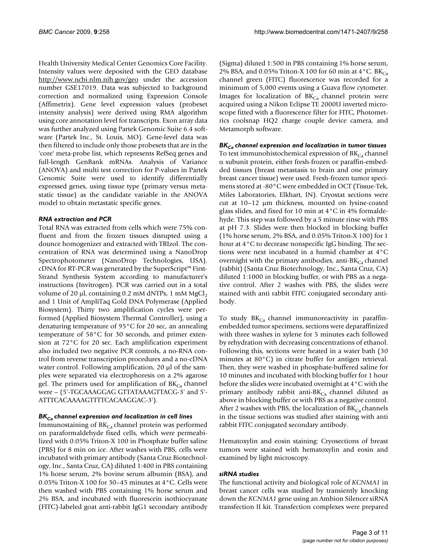Health University Medical Center Genomics Core Facility. Intensity values were deposited with the GEO database <http://www.ncbi.nlm.nih.gov/geo>under the accession number GSE17019. Data was subjected to background correction and normalized using Expression Console (Affimetrix). Gene level expression values (probeset intensity analysis) were derived using RMA algorithm using core annotation level for transcripts. Exon array data was further analyzed using Partek Genomic Suite 6.4 software (Partek Inc., St. Louis, MO). Gene-level data was then filtered to include only those probesets that are in the 'core' meta-probe list, which represents RefSeq genes and full-length GenBank mRNAs. Analysis of Variance (ANOVA) and multi test correction for P-values in Partek Genomic Suite were used to identify differentially expressed genes, using tissue type (primary versus metastatic tissue) as the candidate variable in the ANOVA model to obtain metastatic specific genes.

### *RNA extraction and PCR*

Total RNA was extracted from cells which were 75% confluent and from the frozen tissues disrupted using a dounce homogenizer and extracted with TRIzol. The concentration of RNA was determined using a NanoDrop Spectrophotometer (NanoDrop Technologies, USA). cDNA for RT-PCR was generated by the SuperScript™ First-Strand Synthesis System according to manufacturer's instructions (Invitrogen). PCR was carried out in a total volume of 20 μl, containing 0.2 mM dNTPs, 1 mM MgCl<sub>2</sub> and 1 Unit of AmpliTaq Gold DNA Polymerase (Applied Biosystem). Thirty two amplification cycles were performed (Applied Biosystem Thermal Controller), using a denaturing temperature of 95°C for 20 sec, an annealing temperature of 58°C for 30 seconds, and primer extension at 72°C for 20 sec. Each amplification experiment also included two negative PCR controls, a no-RNA control from reverse transcription procedures and a no-cDNA water control. Following amplification, 20 μl of the samples were separated via electrophoresis on a 2% agarose gel. The primers used for amplification of  $BK_{Ca}$  channel were – (5'-TGCAAAGGAG GTTATAAAGTTACG-3' and 5'- ATTTCACAAAAGTTTTCACAAGGAC-3').

## *BKCa channel expression and localization in cell lines*

Immunostaining of  $BK_{Ca}$  channel protein was performed on paraformaldehyde fixed cells, which were permeabilized with 0.05% Triton-X 100 in Phosphate buffer saline (PBS) for 8 min on ice. After washes with PBS, cells were incubated with primary antibody (Santa Cruz Biotechnology, Inc., Santa Cruz, CA) diluted 1:400 in PBS containing 1% horse serum, 2% bovine serum albumin (BSA), and 0.05% Triton-X 100 for 30–45 minutes at 4°C. Cells were then washed with PBS containing 1% horse serum and 2% BSA, and incubated with fluorescein isothiocyanate (FITC)-labeled goat anti-rabbit IgG1 secondary antibody

(Sigma) diluted 1:500 in PBS containing 1% horse serum, 2% BSA, and 0.05% Triton-X 100 for 60 min at 4 °C. BK $_{Ca}$ channel green (FITC) fluorescence was recorded for a minimum of 5,000 events using a Guava flow cytometer. Images for localization of  $BK_{Ca}$  channel protein were acquired using a Nikon Eclipse TE 2000U inverted microscope fitted with a fluorescence filter for FITC, Photometrics coolsnap HQ2 charge couple device camera, and Metamorph software.

# *BKCa channel expression and localization in tumor tissues*

To test immunohistochemical expression of  $BK_{Ca}$  channel α subunit protein, either fresh-frozen or paraffin-embedded tissues (breast metastasis to brain and one primary breast cancer tissue) were used. Fresh-frozen tumor specimens stored at -80°C were embedded in OCT (Tissue-Tek, Miles Laboratories, Elkhart, IN). Cryostat sections were cut at 10–12 μm thickness, mounted on lysine-coated glass slides, and fixed for 10 min at 4°C in 4% formaldehyde. This step was followed by a 5 minute rinse with PBS at pH 7.3. Slides were then blocked in blocking buffer (1% horse serum, 2% BSA, and 0.05% Triton-X 100) for 1 hour at 4°C to decrease nonspecific IgG binding. The sections were next incubated in a humid chamber at 4°C overnight with the primary antibodies, anti- $BK_{Ca}$  channel (rabbit) (Santa Cruz Biotechnology, Inc., Santa Cruz, CA) diluted 1:1000 in blocking buffer, or with PBS as a negative control. After 2 washes with PBS, the slides were stained with anti rabbit FITC conjugated secondary antibody.

To study  $BK_{Ca}$  channel immunoreactivity in paraffinembedded tumor specimens, sections were deparaffinized with three washes in xylene for 5 minutes each followed by rehydration with decreasing concentrations of ethanol. Following this, sections were heated in a water bath (30 minutes at 80°C) in citrate buffer for antigen retrieval. Then, they were washed in phosphate-buffered saline for 10 minutes and incubated with blocking buffer for 1 hour before the slides were incubated overnight at 4°C with the primary antibody rabbit anti- $BK_{Ca}$  channel diluted as above in blocking buffer or with PBS as a negative control. After 2 washes with PBS, the localization of  $BK_{Ca}$  channels in the tissue sections was studied after staining with anti rabbit FITC conjugated secondary antibody.

Hematoxylin and eosin staining: Cryosections of breast tumors were stained with hematoxylin and eosin and examined by light microscopy.

#### *siRNA studies*

The functional activity and biological role of *KCNMA1* in breast cancer cells was studied by transiently knocking down the *KCNMA1* gene using an Ambion Silencer siRNA transfection II kit. Transfection complexes were prepared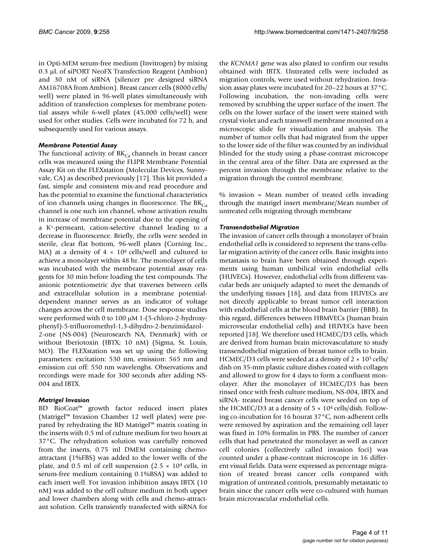in Opti-MEM serum-free medium (Invitrogen) by mixing 0.3 μL of siPORT NeoFX Transfection Reagent (Ambion) and 30 nM of siRNA (silencer pre designed siRNA AM16708A from Ambion). Breast cancer cells (8000 cells/ well) were plated in 96-well plates simultaneously with addition of transfection complexes for membrane potential assays while 6-well plates (45,000 cells/well) were used for other studies. Cells were incubated for 72 h, and subsequently used for various assays.

### *Membrane Potential Assay*

The functional activity of  $BK_{Ca}$  channels in breast cancer cells was measured using the FLIPR Membrane Potential Assay Kit on the FLEXstation (Molecular Devices, Sunnyvale, CA) as described previously [17]. This kit provided a fast, simple and consistent mix-and read procedure and has the potential to examine the functional characteristics of ion channels using changes in fluorescence. The  $BK_{Ca}$ channel is one such ion channel, whose activation results in increase of membrane potential due to the opening of a K<sup>+</sup>-permeant, cation-selective channel leading to a decrease in fluorescence. Briefly, the cells were seeded in sterile, clear flat bottom, 96-well plates (Corning Inc., MA) at a density of  $4 \times 10^4$  cells/well and cultured to achieve a monolayer within 48 hr. The monolayer of cells was incubated with the membrane potential assay reagents for 30 min before loading the test compounds. The anionic potentiometric dye that traverses between cells and extracellular solution in a membrane potentialdependent manner serves as an indicator of voltage changes across the cell membrane. Dose response studies were performed with 0 to 100 μM 1-(5-chloro-2-hydroxyphenyl)-5-trifluoromethyl-1,3-dihydro-2-benzimidazol-2-one (NS-004) (Neurosearch NA, Denmark) with or without Iberiotoxin (IBTX; 10 nM) (Sigma, St. Louis, MO). The FLEXstation was set up using the following parameters: excitation: 530 nm, emission: 565 nm and emission cut off: 550 nm wavelenghs. Observations and

## *Matrigel Invasion*

004 and IBTX.

BD BioCoat™ growth factor reduced insert plates (Matrigel™ Invasion Chamber 12 well plates) were prepared by rehydrating the BD Matrigel™ matrix coating in the inserts with 0.5 ml of culture medium for two hours at 37°C. The rehydration solution was carefully removed from the inserts, 0.75 ml DMEM containing chemoattractant (1%FBS) was added to the lower wells of the plate, and 0.5 ml of cell suspension (2.5  $\times$  10<sup>4</sup> cells, in serum-free medium containing 0.1%BSA) was added to each insert well. For invasion inhibition assays IBTX (10 nM) was added to the cell culture medium in both upper and lower chambers along with cells and chemo-attractant solution. Cells transiently transfected with siRNA for

recordings were made for 300 seconds after adding NS-

the *KCNMA1* gene was also plated to confirm our results obtained with IBTX. Untreated cells were included as migration controls, were used without rehydration. Invasion assay plates were incubated for 20–22 hours at 37°C. Following incubation, the non-invading cells were removed by scrubbing the upper surface of the insert. The cells on the lower surface of the insert were stained with crystal violet and each transwell membrane mounted on a microscopic slide for visualization and analysis. The number of tumor cells that had migrated from the upper to the lower side of the filter was counted by an individual blinded for the study using a phase-contrast microscope in the central area of the filter. Data are expressed as the percent invasion through the membrane relative to the migration through the control membrane.

% invasion = Mean number of treated cells invading through the matrigel insert membrane/Mean number of untreated cells migrating through membrane

#### *Transendothelial Migration*

The invasion of cancer cells through a monolayer of brain endothelial cells is considered to represent the trans-cellular migration activity of the cancer cells. Basic insights into metastasis to brain have been obtained through experiments using human umbilical vein endothelial cells (HUVECs). However, endothelial cells from different vascular beds are uniquely adapted to meet the demands of the underlying tissues [18], and data from HUVECs are not directly applicable to breast tumor cell interaction with endothelial cells at the blood brain barrier (BBB). In this regard, differences between HBMVECs (human brain microvscular endothelial cells) and HUVECs have been reported [18]. We therefore used HCMEC/D3 cells, which are derived from human brain microvasculature to study transendothelial migration of breast tumor cells to brain. HCMEC/D3 cells were seeded at a density of  $2 \times 10^5$  cells/ dish on 35-mm plastic culture dishes coated with collagen and allowed to grow for 4 days to form a confluent monolayer. After the monolayer of HCMEC/D3 has been rinsed once with fresh culture medium, NS-004, IBTX and siRNA- treated breast cancer cells were seeded on top of the HCMEC/D3 at a density of  $5 \times 10^4$  cells/dish. Following co-incubation for 16 hourat 37°C, non-adherent cells were removed by aspiration and the remaining cell layer was fixed in 10% formalin in PBS. The number of cancer cells that had penetrated the monolayer as well as cancer cell colonies (collectively called invasion foci) was counted under a phase-contrast microscope in 16 different visual fields. Data were expressed as percentage migration of treated breast cancer cells compared with migration of untreated controls, presumably metastatic to brain since the cancer cells were co-cultured with human brain microvascular endothelial cells.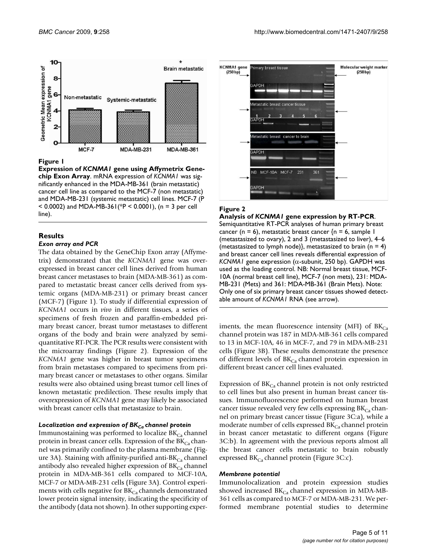

**Figure 1** 

**Expression of** *KCNMA1* **gene using Affymetrix Genechip Exon Array**. mRNA expression of *KCNMA1* was significantly enhanced in the MDA-MB-361 (brain metastatic) cancer cell line as compared to the MCF-7 (non metastatic) and MDA-MB-231 (systemic metastatic) cell lines. MCF-7 (P < 0.0002) and MDA-MB-361(\*P < 0.0001), (n = 3 per cell line).

## **Results**

#### *Exon array and PCR*

The data obtained by the GeneChip Exon array (Affymetrix) demonstrated that the *KCNMA1* gene was overexpressed in breast cancer cell lines derived from human breast cancer metastases to brain (MDA-MB-361) as compared to metastatic breast cancer cells derived from systemic organs (MDA-MB-231) or primary breast cancer (MCF-7) (Figure 1). To study if differential expression of *KCNMA1* occurs in *vivo* in different tissues, a series of specimens of fresh frozen and paraffin-embedded primary breast cancer, breast tumor metastases to different organs of the body and brain were analyzed by semiquantitative RT-PCR. The PCR results were consistent with the microarray findings (Figure 2). Expression of the *KCNMA1* gene was higher in breast tumor specimens from brain metastases compared to specimens from primary breast cancer or metastases to other organs. Similar results were also obtained using breast tumor cell lines of known metastatic predilection. These results imply that overexpression of *KCNMA1* gene may likely be associated with breast cancer cells that metastasize to brain.

#### *Localization and expression of BKCa channel protein*

Immunostaining was performed to localize  $BK_{Ca}$  channel protein in breast cancer cells. Expression of the  $BK_{Ca}$  channel was primarily confined to the plasma membrane (Figure 3A). Staining with affinity-purified anti- $BK_{Ca}$  channel antibody also revealed higher expression of  $BK_{Ca}$  channel protein in MDA-MB-361 cells compared to MCF-10A, MCF-7 or MDA-MB-231 cells (Figure 3A). Control experiments with cells negative for  $BK_{Ca}$  channels demonstrated lower protein signal intensity, indicating the specificity of the antibody (data not shown). In other supporting exper-



### **Figure 2**

**Analysis of** *KCNMA1* **gene expression by RT-PCR**. Semiquantitative RT-PCR analyses of human primary breast cancer (n = 6), metastatic breast cancer  $\{n = 6, \text{ sample } 1\}$ (metastasized to ovary), 2 and 3 (metastasized to liver), 4–6 (metastasized to lymph node), metastasized to brain ( $n = 4$ ) and breast cancer cell lines reveals differential expression of *KCNMA1* gene expression (α-subunit, 250 bp). GAPDH was used as the loading control. NB: Normal breast tissue, MCF-10A (normal breast cell line), MCF-7 (non mets), 231: MDA-MB-231 (Mets) and 361: MDA-MB-361 (Brain Mets). Note: Only one of six primary breast cancer tissues showed detectable amount of *KCNMA1* RNA (see arrow).

iments, the mean fluorescence intensity (MFI) of  $BK_{Ca}$ channel protein was 187 in MDA-MB-361 cells compared to 13 in MCF-10A, 46 in MCF-7, and 79 in MDA-MB-231 cells (Figure 3B). These results demonstrate the presence of different levels of  $BK_{Ca}$  channel protein expression in different breast cancer cell lines evaluated.

Expression of  $BK_{Ca}$  channel protein is not only restricted to cell lines but also present in human breast cancer tissues. Immunofluorescence performed on human breast cancer tissue revealed very few cells expressing  $BK_{Ca}$  channel on primary breast cancer tissue (Figure 3C:a), while a moderate number of cells expressed  $BK_{Ca}$  channel protein in breast cancer metastatic to different organs (Figure 3C:b). In agreement with the previous reports almost all the breast cancer cells metastatic to brain robustly expressed  $BK_{Ca}$  channel protein (Figure 3C:c).

#### *Membrane potential*

Immunolocalization and protein expression studies showed increased  $BK_{Ca}$  channel expression in MDA-MB-361 cells as compared to MCF-7 or MDA-MB-231. We performed membrane potential studies to determine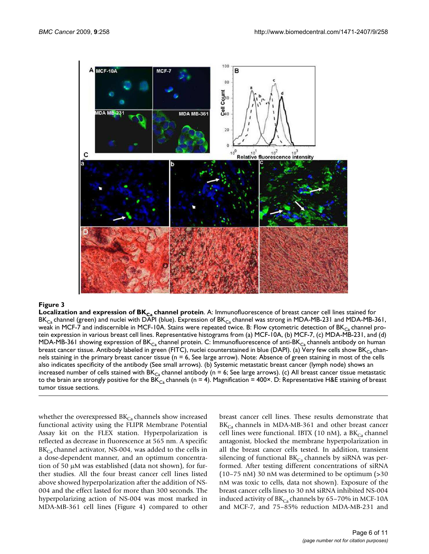

**Localization and expression of BKCa channel protein**. A: Immunofluorescence of breast cancer cell lines stained for  $BK_{Ca}$  channel (green) and nuclei with DAPI (blue). Expression of BK $_{Ca}$  channel was strong in MDA-MB-231 and MDA-MB-361, weak in MCF-7 and indiscernible in MCF-10A. Stains were repeated twice. B: Flow cytometric detection of  $BK_{C_2}$  channel protein expression in various breast cell lines. Representative histograms from (a) MCF-10A, (b) MCF-7, (c) MDA-MB-231, and (d) MDA-MB-361 showing expression of BK<sub>Ca</sub> channel protein. C: Immunofluorescence of anti-BK<sub>Ca</sub> channels antibody on human breast cancer tissue. Antibody labeled in green (FITC), nuclei counterstained in blue (DAPI). (a) Very few cells show BK $_{Ca}$  channels staining in the primary breast cancer tissue (n = 6, See large arrow). Note: Absence of green staining in most of the cells also indicates specificity of the antibody (See small arrows). (b) Systemic metastatic breast cancer (lymph node) shows an increased number of cells stained with  $BK_{Ca}$  channel antibody (n = 6; See large arrows). (c) All breast cancer tissue metastatic to the brain are strongly positive for the BK<sub>Ca</sub> channels (n = 4). Magnification = 400×. D: Representative H&E staining of breast tumor tissue sections.

whether the overexpressed  $BK_{Ca}$  channels show increased functional activity using the FLIPR Membrane Potential Assay kit on the FLEX station. Hyperpolarization is reflected as decrease in fluorescence at 565 nm. A specific  $BK_{Ca}$  channel activator, NS-004, was added to the cells in a dose-dependent manner, and an optimum concentration of 50 μM was established (data not shown), for further studies. All the four breast cancer cell lines listed above showed hyperpolarization after the addition of NS-004 and the effect lasted for more than 300 seconds. The hyperpolarizing action of NS-004 was most marked in MDA-MB-361 cell lines (Figure 4) compared to other

breast cancer cell lines. These results demonstrate that  $BK_{Ca}$  channels in MDA-MB-361 and other breast cancer cell lines were functional. IBTX (10 nM), a  $BK_{Ca}$  channel antagonist, blocked the membrane hyperpolarization in all the breast cancer cells tested. In addition, transient silencing of functional  $BK_{Ca}$  channels by siRNA was performed. After testing different concentrations of siRNA (10–75 nM) 30 nM was determined to be optimum (>30 nM was toxic to cells, data not shown). Exposure of the breast cancer cells lines to 30 nM siRNA inhibited NS-004 induced activity of  $BK_{Ca}$  channels by 65–70% in MCF-10A and MCF-7, and 75–85% reduction MDA-MB-231 and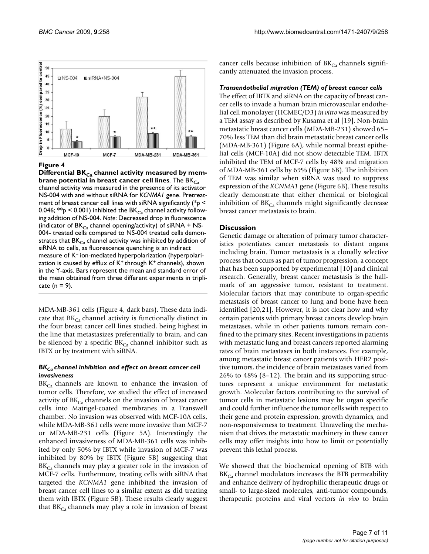

Differential BK<sub>Ca</sub> channel activity measured by mem**brane potential in breast cancer cell lines**. The BK<sub>Ca</sub> channel activity was measured in the presence of its activator NS-004 with and without siRNA for *KCNMA1* gene. Pretreatment of breast cancer cell lines with siRNA significantly (\*p < 0.046;  $*p$  < 0.001) inhibited the BK<sub>Ca</sub> channel activity following addition of NS-004. *Note*: Decreased drop in fluorescence (indicator of  $BK_{Ca}$  channel opening/activity) of siRNA + NS-004- treated cells compared to NS-004 treated cells demonstrates that  $BK_{Ca}$  channel activity was inhibited by addition of siRNA to cells, as fluorescence quenching is an indirect measure of K<sup>+</sup> ion-mediated hyperpolarization (hyperpolarization is caused by efflux of  $K^+$  through  $K^+$  channels), shown in the Y-axis. Bars represent the mean and standard error of the mean obtained from three different experiments in triplicate ( $n = 9$ ).

MDA-MB-361 cells (Figure 4, dark bars). These data indicate that  $BK_{Ca}$  channel activity is functionally distinct in the four breast cancer cell lines studied, being highest in the line that metastasizes preferentially to brain, and can be silenced by a specific  $BK_{Ca}$  channel inhibitor such as IBTX or by treatment with siRNA.

#### *BKCa channel inhibition and effect on breast cancer cell invasiveness*

 $BK<sub>Ca</sub>$  channels are known to enhance the invasion of tumor cells. Therefore, we studied the effect of increased activity of  $BK_{Ca}$  channels on the invasion of breast cancer cells into Matrigel-coated membranes in a Transwell chamber. No invasion was observed with MCF-10A cells, while MDA-MB-361 cells were more invasive than MCF-7 or MDA-MB-231 cells (Figure 5A). Interestingly the enhanced invasiveness of MDA-MB-361 cells was inhibited by only 50% by IBTX while invasion of MCF-7 was inhibited by 80% by IBTX (Figure 5B) suggesting that  $BK<sub>Ca</sub>$  channels may play a greater role in the invasion of MCF-7 cells. Furthermore, treating cells with siRNA that targeted the *KCNMA1* gene inhibited the invasion of breast cancer cell lines to a similar extent as did treating them with IBTX (Figure 5B). These results clearly suggest that  $BK<sub>Ca</sub>$  channels may play a role in invasion of breast

cancer cells because inhibition of  $BK_{Ca}$  channels significantly attenuated the invasion process.

#### *Transendothelial migration (TEM) of breast cancer cells*

The effect of IBTX and siRNA on the capacity of breast cancer cells to invade a human brain microvascular endothelial cell monolayer (HCMEC/D3) *in vitro* was measured by a TEM assay as described by Kusama et al [19]. Non-brain metastatic breast cancer cells (MDA-MB-231) showed 65– 70% less TEM than did brain metastatic breast cancer cells (MDA-MB-361) (Figure 6A), while normal breast epithelial cells (MCF-10A) did not show detectable TEM. IBTX inhibited the TEM of MCF-7 cells by 48% and migration of MDA-MB-361 cells by 69% (Figure 6B). The inhibition of TEM was similar when siRNA was used to suppress expression of the *KCNMA1* gene (Figure 6B). These results clearly demonstrate that either chemical or biological inhibition of  $BK_{Ca}$  channels might significantly decrease breast cancer metastasis to brain.

#### **Discussion**

Genetic damage or alteration of primary tumor characteristics potentiates cancer metastasis to distant organs including brain. Tumor metastasis is a clonally selective process that occurs as part of tumor progression, a concept that has been supported by experimental [10] and clinical research. Generally, breast cancer metastasis is the hallmark of an aggressive tumor, resistant to treatment. Molecular factors that may contribute to organ-specific metastasis of breast cancer to lung and bone have been identified [20,21]. However, it is not clear how and why certain patients with primary breast cancers develop brain metastases, while in other patients tumors remain confined to the primary sites. Recent investigations in patients with metastatic lung and breast cancers reported alarming rates of brain metastases in both instances. For example, among metastatic breast cancer patients with HER2 positive tumors, the incidence of brain metastases varied from 26% to 48% (8–12). The brain and its supporting structures represent a unique environment for metastatic growth. Molecular factors contributing to the survival of tumor cells in metastatic lesions may be organ specific and could further influence the tumor cells with respect to their gene and protein expression, growth dynamics, and non-responsiveness to treatment. Unraveling the mechanism that drives the metastatic machinery in these cancer cells may offer insights into how to limit or potentially prevent this lethal process.

We showed that the biochemical opening of BTB with  $BK_{Ca}$  channel modulators increases the BTB permeability and enhance delivery of hydrophilic therapeutic drugs or small- to large-sized molecules, anti-tumor compounds, therapeutic proteins and viral vectors *in vivo* to brain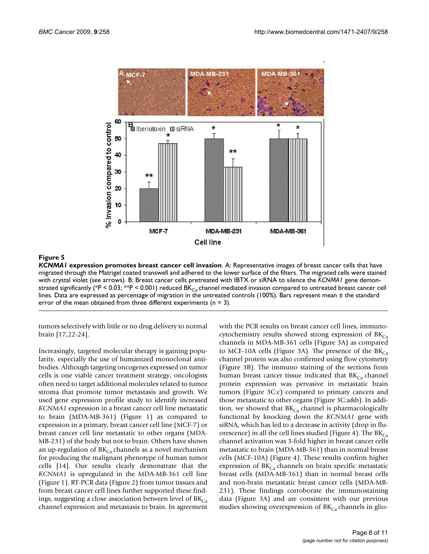

*KCNMA1* **expression promotes breast cancer cell invasion**. A: Representative images of breast cancer cells that have migrated through the Matrigel coated transwell and adhered to the lower surface of the filters. The migrated cells were stained with crystal violet (see arrows). B: Breast cancer cells pretreated with IBTX or siRNA to silence the *KCNMA1* gene demonstrated significantly (\*P < 0.03; \*\*P < 0.001) reduced BK<sub>Ca</sub> channel mediated invasion compared to untreated breast cancer cell lines. Data are expressed as percentage of migration in the untreated controls (100%). Bars represent mean ± the standard error of the mean obtained from three different experiments ( $n = 3$ ).

tumors selectively with little or no drug delivery to normal brain [17,22-24].

Increasingly, targeted molecular therapy is gaining popularity, especially the use of humanized monoclonal antibodies. Although targeting oncogenes expressed on tumor cells is one viable cancer treatment strategy, oncologists often need to target additional molecules related to tumor stroma that promote tumor metastasis and growth. We used gene expression profile study to identify increased *KCNMA1* expression in a breast cancer cell line metastatic to brain (MDA-MB-361) (Figure 1) as compared to expression in a primary, breast cancer cell line (MCF-7) or breast cancer cell line metastatic to other organs (MDA-MB-231) of the body but not to brain. Others have shown an up-regulation of  $BK_{Ca}$  channels as a novel mechanism for producing the malignant phenotype of human tumor cells [14]. Our results clearly demonstrate that the *KCNMA1* is upregulated in the MDA-MB-361 cell line (Figure 1). RT-PCR data (Figure 2) from tumor tissues and from breast cancer cell lines further supported these findings, suggesting a close association between level of  $BK_{Ca}$ channel expression and metastasis to brain. In agreement

with the PCR results on breast cancer cell lines, immunocytochemistry results showed strong expression of  $BK_{Ca}$ channels in MDA-MB-361 cells (Figure 3A) as compared to MCF-10A cells (Figure 3A). The presence of the  $BK_{Ca}$ channel protein was also confirmed using flow cytometry (Figure 3B). The immuno staining of the sections from human breast cancer tissue indicated that  $BK_{C_3}$  channel protein expression was pervasive in metastatic brain tumors (Figure 3C:c) compared to primary cancers and those metastatic to other organs (Figure 3C:a&b). In addition, we showed that  $BK_{Ca}$  channel is pharmacologically functional by knocking down the *KCNMA1* gene with siRNA, which has led to a decrease in activity (drop in fluorescence) in all the cell lines studied (Figure 4). The  $BK_{Ca}$ channel activation was 3-fold higher in breast cancer cells metastatic to brain (MDA-MB-361) than in normal breast cells (MCF-10A) (Figure 4). These results confirm higher expression of  $BK<sub>Ca</sub>$  channels on brain specific metastatic breast cells (MDA-MB-361) than in normal breast cells and non-brain metastatic breast cancer cells (MDA-MB-231). These findings corroborate the immunostaining data (Figure 3A) and are consistent with our previous studies showing overexpression of  $BK_{Ca}$  channels in glio-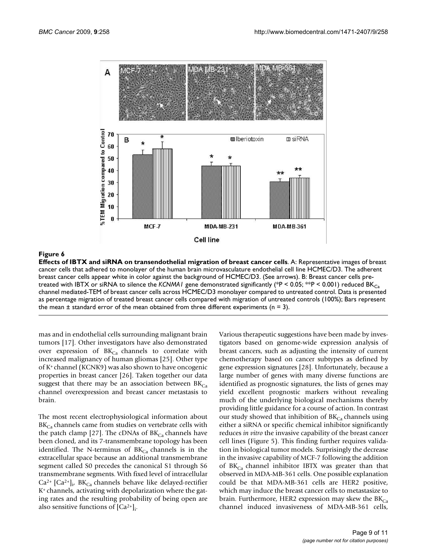

**Effects of IBTX and siRNA on transendothelial migration of breast cancer cells**. A: Representative images of breast cancer cells that adhered to monolayer of the human brain microvasculature endothelial cell line HCMEC/D3. The adherent breast cancer cells appear white in color against the background of HCMEC/D3. (See arrows). B: Breast cancer cells pretreated with IBTX or siRNA to silence the *KCNMA1* gene demonstrated significantly (\*P < 0.05; \*\*P < 0.001) reduced BK<sub>Ca</sub> channel mediated-TEM of breast cancer cells across HCMEC/D3 monolayer compared to untreated control. Data is presented as percentage migration of treated breast cancer cells compared with migration of untreated controls (100%); Bars represent the mean  $\pm$  standard error of the mean obtained from three different experiments (n = 3).

mas and in endothelial cells surrounding malignant brain tumors [17]. Other investigators have also demonstrated over expression of  $BK_{Ca}$  channels to correlate with increased malignancy of human gliomas [25]. Other type of  $K^+$ channel (KCNK9) was also shown to have oncogenic properties in breast cancer [26]. Taken together our data suggest that there may be an association between  $BK_{Ca}$ channel overexpression and breast cancer metastasis to brain.

The most recent electrophysiological information about  $BK<sub>Ca</sub>$  channels came from studies on vertebrate cells with the patch clamp [27]. The cDNAs of  $BK_{Ca}$  channels have been cloned, and its 7-transmembrane topology has been identified. The N-terminus of  $BK_{Ca}$  channels is in the extracellular space because an additional transmembrane segment called S0 precedes the canonical S1 through S6 transmembrane segments. With fixed level of intracellular  $Ca^{2+}$  [Ca<sup>2+</sup>]<sub>i</sub>, BK<sub>Ca</sub> channels behave like delayed-rectifier K+ channels, activating with depolarization where the gating rates and the resulting probability of being open are also sensitive functions of  $[Ca^{2+}]_i$ .

Various therapeutic suggestions have been made by investigators based on genome-wide expression analysis of breast cancers, such as adjusting the intensity of current chemotherapy based on cancer subtypes as defined by gene expression signatures [28]. Unfortunately, because a large number of genes with many diverse functions are identified as prognostic signatures, the lists of genes may yield excellent prognostic markers without revealing much of the underlying biological mechanisms thereby providing little guidance for a course of action. In contrast our study showed that inhibition of  $BK_{Ca}$  channels using either a siRNA or specific chemical inhibitor significantly reduces *in vitro* the invasive capability of the breast cancer cell lines (Figure 5). This finding further requires validation in biological tumor models. Surprisingly the decrease in the invasive capability of MCF-7 following the addition of  $BK_{Ca}$  channel inhibitor IBTX was greater than that observed in MDA-MB-361 cells. One possible explanation could be that MDA-MB-361 cells are HER2 positive, which may induce the breast cancer cells to metastasize to brain. Furthermore, HER2 expression may skew the  $BK_{Ca}$ channel induced invasiveness of MDA-MB-361 cells,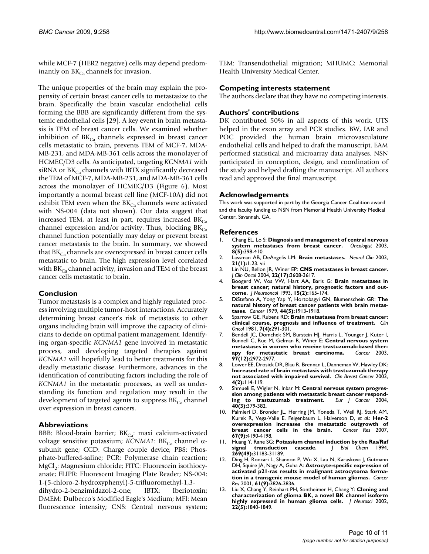while MCF-7 (HER2 negative) cells may depend predominantly on  $BK_{Ca}$  channels for invasion.

The unique properties of the brain may explain the propensity of certain breast cancer cells to metastasize to the brain. Specifically the brain vascular endothelial cells forming the BBB are significantly different from the systemic endothelial cells [29]. A key event in brain metastasis is TEM of breast cancer cells. We examined whether inhibition of  $BK_{Ca}$  channels expressed in breast cancer cells metastatic to brain, prevents TEM of MCF-7, MDA-MB-231, and MDA-MB-361 cells across the monolayer of HCMEC/D3 cells. As anticipated, targeting *KCNMA1* with siRNA or  $BK_{Ca}$  channels with IBTX significantly decreased the TEM of MCF-7, MDA-MB-231, and MDA-MB-361 cells across the monolayer of HCMEC/D3 (Figure 6). Most importantly a normal breast cell line (MCF-10A) did not exhibit TEM even when the  $BK_{Ca}$  channels were activated with NS-004 (data not shown). Our data suggest that increased TEM, at least in part, requires increased  $BK_{Ca}$ channel expression and/or activity. Thus, blocking  $BK_{Ca}$ channel function potentially may delay or prevent breast cancer metastasis to the brain. In summary, we showed that  $BK_{Ca}$  channels are overexpressed in breast cancer cells metastatic to brain. The high expression level correlated with  $BK_{Ca}$  channel activity, invasion and TEM of the breast cancer cells metastatic to brain.

#### **Conclusion**

Tumor metastasis is a complex and highly regulated process involving multiple tumor-host interactions. Accurately determining breast cancer's risk of metastasis to other organs including brain will improve the capacity of clinicians to decide on optimal patient management. Identifying organ-specific *KCNMA1* gene involved in metastatic process, and developing targeted therapies against *KCNMA1* will hopefully lead to better treatments for this deadly metastatic disease. Furthermore, advances in the identification of contributing factors including the role of *KCNMA1* in the metastatic processes, as well as understanding its function and regulation may result in the development of targeted agents to suppress  $BK_{Ca}$  channel over expression in breast cancers.

#### **Abbreviations**

BBB: Blood-brain barrier;  $BK_{Ca}$ : maxi calcium-activated voltage sensitive potassium; *KCNMA1*: BK<sub>Ca</sub> channel αsubunit gene; CCD: Charge couple device; PBS: Phosphate-buffered-saline; PCR: Polymerase chain reaction; MgCl<sub>2</sub>: Magnesium chloride; FITC: Fluorescein isothiocyanate; FLIPR: Fluorescent Imaging Plate Reader; NS-004: 1-(5-chloro-2-hydroxyphenyl)-5-trifluoromethyl-1,3-

dihydro-2-benzimidazol-2-one; IBTX: Iberiotoxin; DMEM: Dulbecco's Modified Eagle's Medium; MFI: Mean fluorescence intensity; CNS: Central nervous system;

TEM: Transendothelial migration; MHUMC: Memorial Health University Medical Center.

#### **Competing interests statement**

The authors declare that they have no competing interests.

#### **Authors' contributions**

DK contributed 50% in all aspects of this work. UTS helped in the exon array and PCR studies. BW, IAR and POC provided the human brain microvasculature endothelial cells and helped to draft the manuscript. EAM performed statistical and microarray data analyses. NSN participated in conception, design, and coordination of the study and helped drafting the manuscript. All authors read and approved the final manuscript.

#### **Acknowledgements**

This work was supported in part by the Georgia Cancer Coalition award and the faculty funding to NSN from Memorial Health University Medical Center, Savannah, GA.

#### **References**

- 1. Chang EL, Lo S: **[Diagnosis and management of central nervous](http://www.ncbi.nlm.nih.gov/entrez/query.fcgi?cmd=Retrieve&db=PubMed&dopt=Abstract&list_uids=14530493) [system metastases from breast cancer.](http://www.ncbi.nlm.nih.gov/entrez/query.fcgi?cmd=Retrieve&db=PubMed&dopt=Abstract&list_uids=14530493)** *Oncologist* 2003, **8(5):**398-410.
- 2. Lassman AB, DeAngelis LM: **[Brain metastases.](http://www.ncbi.nlm.nih.gov/entrez/query.fcgi?cmd=Retrieve&db=PubMed&dopt=Abstract&list_uids=12690643)** *Neurol Clin* 2003, **21(1):**1-23. vii
- 3. Lin NU, Bellon JR, Winer EP: **[CNS metastases in breast cancer.](http://www.ncbi.nlm.nih.gov/entrez/query.fcgi?cmd=Retrieve&db=PubMed&dopt=Abstract&list_uids=15337811)** *J Clin Oncol* 2004, **22(17):**3608-3617.
- 4. Boogerd W, Vos VW, Hart AA, Baris G: **[Brain metastases in](http://www.ncbi.nlm.nih.gov/entrez/query.fcgi?cmd=Retrieve&db=PubMed&dopt=Abstract&list_uids=8509821) [breast cancer; natural history, prognostic factors and out](http://www.ncbi.nlm.nih.gov/entrez/query.fcgi?cmd=Retrieve&db=PubMed&dopt=Abstract&list_uids=8509821)[come.](http://www.ncbi.nlm.nih.gov/entrez/query.fcgi?cmd=Retrieve&db=PubMed&dopt=Abstract&list_uids=8509821)** *J Neurooncol* 1993, **15(2):**165-174.
- 5. DiStefano A, Yong Yap Y, Hortobagyi GN, Blumenschein GR: **[The](http://www.ncbi.nlm.nih.gov/entrez/query.fcgi?cmd=Retrieve&db=PubMed&dopt=Abstract&list_uids=498057) [natural history of breast cancer patients with brain metas](http://www.ncbi.nlm.nih.gov/entrez/query.fcgi?cmd=Retrieve&db=PubMed&dopt=Abstract&list_uids=498057)[tases.](http://www.ncbi.nlm.nih.gov/entrez/query.fcgi?cmd=Retrieve&db=PubMed&dopt=Abstract&list_uids=498057)** *Cancer* 1979, **44(5):**1913-1918.
- 6. Sparrow GE, Rubens RD: **[Brain metastases from breast cancer:](http://www.ncbi.nlm.nih.gov/entrez/query.fcgi?cmd=Retrieve&db=PubMed&dopt=Abstract&list_uids=7318273) [clinical course, prognosis and influence of treatment.](http://www.ncbi.nlm.nih.gov/entrez/query.fcgi?cmd=Retrieve&db=PubMed&dopt=Abstract&list_uids=7318273)** *Clin Oncol* 1981, **7(4):**291-301.
- 7. Bendell JC, Domchek SM, Burstein HJ, Harris L, Younger J, Kuter I, Bunnell C, Rue M, Gelman R, Winer E: **[Central nervous system](http://www.ncbi.nlm.nih.gov/entrez/query.fcgi?cmd=Retrieve&db=PubMed&dopt=Abstract&list_uids=12784331)** metastases in women who receive trastuzumab-based ther-<br>apy for metastatic breast carcinoma. *Cancer* 2003. [apy for metastatic breast carcinoma.](http://www.ncbi.nlm.nih.gov/entrez/query.fcgi?cmd=Retrieve&db=PubMed&dopt=Abstract&list_uids=12784331) **97(12):**2972-2977.
- 8. Lower EE, Drosick DR, Blau R, Brennan L, Danneman W, Hawley DK: **[Increased rate of brain metastasis with trastuzumab therapy](http://www.ncbi.nlm.nih.gov/entrez/query.fcgi?cmd=Retrieve&db=PubMed&dopt=Abstract&list_uids=12864939) [not associated with impaired survival.](http://www.ncbi.nlm.nih.gov/entrez/query.fcgi?cmd=Retrieve&db=PubMed&dopt=Abstract&list_uids=12864939)** *Clin Breast Cancer* 2003, **4(2):**114-119.
- 9. Shmueli E, Wigler N, Inbar M: **[Central nervous system progres](http://www.ncbi.nlm.nih.gov/entrez/query.fcgi?cmd=Retrieve&db=PubMed&dopt=Abstract&list_uids=14746856)**sion among patients with metastatic breast cancer respond-<br>ing to trastuzumab treatment. Eur J Cancer 2004, [ing to trastuzumab treatment.](http://www.ncbi.nlm.nih.gov/entrez/query.fcgi?cmd=Retrieve&db=PubMed&dopt=Abstract&list_uids=14746856) **40(3):**379-382.
- 10. Palmieri D, Bronder JL, Herring JM, Yoneda T, Weil RJ, Stark AM, Kurek R, Vega-Valle E, Feigenbaum L, Halverson D, *et al.*: **[Her-2](http://www.ncbi.nlm.nih.gov/entrez/query.fcgi?cmd=Retrieve&db=PubMed&dopt=Abstract&list_uids=17483330) [overexpression increases the metastatic outgrowth of](http://www.ncbi.nlm.nih.gov/entrez/query.fcgi?cmd=Retrieve&db=PubMed&dopt=Abstract&list_uids=17483330)**  $\ddot{c}$  cells in the brain. **67(9):**4190-4198.
- 11. Huang Y, Rane SG: **[Potassium channel induction by the Ras/Raf](http://www.ncbi.nlm.nih.gov/entrez/query.fcgi?cmd=Retrieve&db=PubMed&dopt=Abstract&list_uids=7527041) [signal transduction cascade.](http://www.ncbi.nlm.nih.gov/entrez/query.fcgi?cmd=Retrieve&db=PubMed&dopt=Abstract&list_uids=7527041)** *J Biol Chem* 1994, **269(49):**31183-31189.
- 12. Ding H, Roncari L, Shannon P, Wu X, Lau N, Karaskova J, Gutmann DH, Squire JA, Nagy A, Guha A: **[Astrocyte-specific expression of](http://www.ncbi.nlm.nih.gov/entrez/query.fcgi?cmd=Retrieve&db=PubMed&dopt=Abstract&list_uids=11325859) [activated p21-ras results in malignant astrocytoma forma](http://www.ncbi.nlm.nih.gov/entrez/query.fcgi?cmd=Retrieve&db=PubMed&dopt=Abstract&list_uids=11325859)[tion in a transgenic mouse model of human gliomas.](http://www.ncbi.nlm.nih.gov/entrez/query.fcgi?cmd=Retrieve&db=PubMed&dopt=Abstract&list_uids=11325859)** *Cancer Res* 2001, **61(9):**3826-3836.
- 13. Liu X, Chang Y, Reinhart PH, Sontheimer H, Chang Y: **[Cloning and](http://www.ncbi.nlm.nih.gov/entrez/query.fcgi?cmd=Retrieve&db=PubMed&dopt=Abstract&list_uids=11880513) [characterization of glioma BK, a novel BK channel isoform](http://www.ncbi.nlm.nih.gov/entrez/query.fcgi?cmd=Retrieve&db=PubMed&dopt=Abstract&list_uids=11880513) [highly expressed in human glioma cells.](http://www.ncbi.nlm.nih.gov/entrez/query.fcgi?cmd=Retrieve&db=PubMed&dopt=Abstract&list_uids=11880513)** *J Neurosci* 2002, **22(5):**1840-1849.